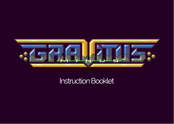

# **Instruction Booklet**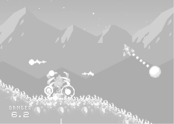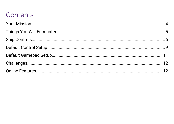### Contents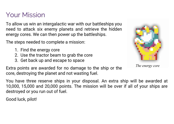#### To allow us win an intergalactic war with our battleships you need to attack six enemy planets and retrieve the hidden energy cores. We can then power up the battleships.

Your Mission

The steps needed to complete a mission:

- 1. Find the energy core
- 2. Use the tractor beam to grab the core
- 3. Get back up and escape to space

The energy core

Extra points are awarded for no damage to the ship or the core, destroying the planet and not wasting fuel.

You have three reserve ships in your disposal. An extra ship will be awarded at 10,000, 15,000 and 20,000 points. The mission will be over if all of your ships are destroyed or you run out of fuel.

Good luck, pilot!

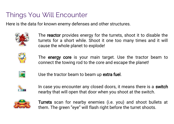# Things You Will Encounter

Here is the data for known enemy defenses and other structures.



The reactor provides energy for the turrets, shoot it to disable the turrets for a short while. Shoot it one too many times and it will cause the whole planet to explode!



The **energy core** is your main target. Use the tractor beam to connect the towing rod to the core and escape the planet!



Use the tractor beam to beam up **extra fuel**.



In case you encounter any closed doors, it means there is a switch nearby that will open that door when you shoot at the switch.



Turrets scan for nearby enemies (i.e. you) and shoot bullets at them. The green "eye" will flash right before the turret shoots.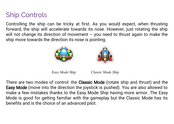### Ship Controls

Controlling the ship can be tricky at first. As you would expect, when thrusting forward, the ship will accelerate towards its nose. However, just rotating the ship will not change its direction of movement – you need to thrust again to make the ship move towards the direction its nose is pointing.



*Easy Mode Ship Classic Mode Ship*

There are two modes of control: the **Classic Mode** (rotate ship and thrust) and the Easy Mode (move into the direction the joystick is pushed). You are also allowed to make a few mistakes thanks to the Easy Mode Ship having more armor. The Easy Mode is good for getting familiar with the gameplay but the Classic Mode has its benefits and is the choice of an advanced pilot.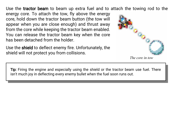Use the tractor beam to beam up extra fuel and to attach the towing rod to the

energy core. To attach the tow, fly above the energy core, hold down the tractor beam button (the tow will appear when you are close enough) and thrust away from the core while keeping the tractor beam enabled. You can release the tractor beam key when the core has been detached from the holder

Use the shield to deflect enemy fire. Unfortunately, the shield will not protect you from collisions.



The core in tow

Tip: Firing the engine and especially using the shield or the tractor beam use fuel. There isn't much joy in deflecting every enemy bullet when the fuel soon runs out.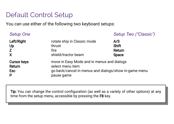## Default Control Setup

You can use either of the following two keyboard setups:

| <b>Setup One</b>   |                                                       | Setup Two ("Classic") |
|--------------------|-------------------------------------------------------|-----------------------|
| Left/Right         | rotate ship in Classic mode                           | A/S                   |
| Up                 | thrust                                                | <b>Shift</b>          |
| Z.                 | fire                                                  | Return                |
| X                  | shield/tractor beam                                   | <b>Space</b>          |
| <b>Cursor keys</b> | move in Easy Mode and in menus and dialogs            |                       |
| Return             | select menu item                                      |                       |
| <b>Esc</b>         | go back/cancel in menus and dialogs/show in-game menu |                       |
| P                  | pause game                                            |                       |

Tip: You can change the control configuration (as well as a variety of other options) at any time from the setup menu, accessible by pressing the F8 key.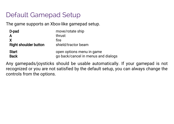# Default Gamepad Setup

The game supports an Xbox-like gamepad setup.

| D-pad                 | move/rotate ship                    |
|-----------------------|-------------------------------------|
| A                     | thrust                              |
| X                     | fire                                |
| Right shoulder button | shield/tractor beam                 |
| Start                 | open options menu in game           |
| <b>Back</b>           | go back/cancel in menus and dialogs |

Any gamepads/joysticks should be usable automatically. If your gamepad is not recognized or you are not satisfied by the default setup, you can always change the controls from the options.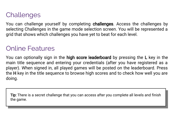#### **Challenges**

You can challenge yourself by completing challenges. Access the challenges by selecting Challenges in the game mode selection screen. You will be represented a grid that shows which challenges you have yet to beat for each level.

#### Online Features

You can optionally sign in the **high score leaderboard** by pressing the L key in the main title sequence and entering your credentials (after you have registered as a player). When signed in, all played games will be posted on the leaderboard. Press the H key in the title sequence to browse high scores and to check how well you are doing.

Tip: There is a secret challenge that you can access after you complete all levels and finish the game.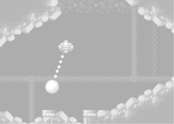